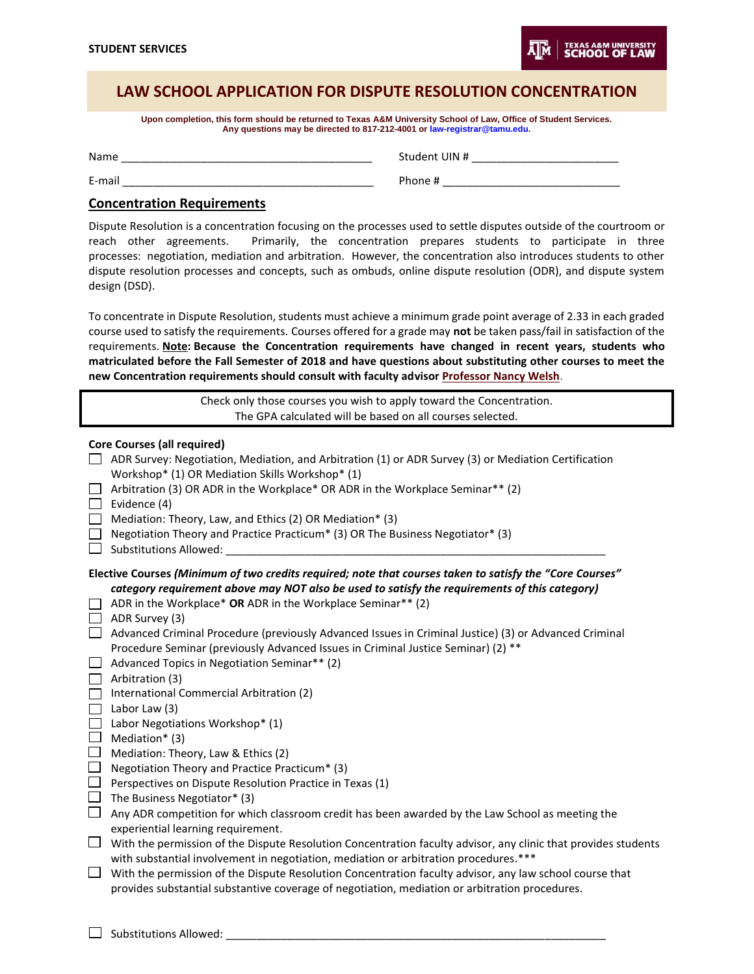## **LAW SCHOOL APPLICATION FOR DISPUTE RESOLUTION CONCENTRATION**

**Upon completion, this form should be returned to Texas A&M University School of Law, Office of Student Services. Any questions may be directed to 817-212-4001 or law-registrar@tamu.edu.**

| Name   | Student UIN # |
|--------|---------------|
| E-mail | Phone #       |

## **Concentration Requirements**

Dispute Resolution is a concentration focusing on the processes used to settle disputes outside of the courtroom or reach other agreements. Primarily, the concentration prepares students to participate in three processes: negotiation, mediation and arbitration. However, the concentration also introduces students to other dispute resolution processes and concepts, such as ombuds, online dispute resolution (ODR), and dispute system design (DSD).

To concentrate in Dispute Resolution, students must achieve a minimum grade point average of 2.33 in each graded course used to satisfy the requirements. Courses offered for a grade may **not** be taken pass/fail in satisfaction of the requirements. **Note: Because the Concentration requirements have changed in recent years, students who matriculated before the Fall Semester of 2018 and have questions about substituting other courses to meet the new Concentration requirements should consult with faculty advisor [Professor Nancy Welsh](https://law.tamu.edu/faculty-staff/find-people/faculty-profiles/nancy-a-welsh)**.

|                                                                                                                                                | Check only those courses you wish to apply toward the Concentration.                                                                                                                                                                                                                                                                                                                                                                                                                                                                                                                                                                                                                                                                                                                                                                                                                                                                                                                                                                                                                                                                                                                                                                                                                                                               |
|------------------------------------------------------------------------------------------------------------------------------------------------|------------------------------------------------------------------------------------------------------------------------------------------------------------------------------------------------------------------------------------------------------------------------------------------------------------------------------------------------------------------------------------------------------------------------------------------------------------------------------------------------------------------------------------------------------------------------------------------------------------------------------------------------------------------------------------------------------------------------------------------------------------------------------------------------------------------------------------------------------------------------------------------------------------------------------------------------------------------------------------------------------------------------------------------------------------------------------------------------------------------------------------------------------------------------------------------------------------------------------------------------------------------------------------------------------------------------------------|
|                                                                                                                                                | The GPA calculated will be based on all courses selected.                                                                                                                                                                                                                                                                                                                                                                                                                                                                                                                                                                                                                                                                                                                                                                                                                                                                                                                                                                                                                                                                                                                                                                                                                                                                          |
| $\mathbf{L}$<br>$\Box$<br>$\Box$<br>$\mathbf{I}$                                                                                               | <b>Core Courses (all required)</b><br>ADR Survey: Negotiation, Mediation, and Arbitration (1) or ADR Survey (3) or Mediation Certification<br>Workshop* (1) OR Mediation Skills Workshop* (1)<br>Arbitration (3) OR ADR in the Workplace* OR ADR in the Workplace Seminar** (2)<br>Evidence (4)<br>Mediation: Theory, Law, and Ethics (2) OR Mediation* (3)<br>Negotiation Theory and Practice Practicum* (3) OR The Business Negotiator* (3)<br><b>Substitutions Allowed:</b>                                                                                                                                                                                                                                                                                                                                                                                                                                                                                                                                                                                                                                                                                                                                                                                                                                                     |
| $\mathsf{L}$<br>П<br>$\Box$<br>$\Box$<br>$\Box$<br>П<br>$\Box$<br>$\Box$<br>□<br>$\Box$<br>$\Box$<br>$\Box$<br>$\Box$<br>$\Box$<br>$\Box$<br>ப | Elective Courses (Minimum of two credits required; note that courses taken to satisfy the "Core Courses"<br>category requirement above may NOT also be used to satisfy the requirements of this category)<br>ADR in the Workplace* OR ADR in the Workplace Seminar** (2)<br>ADR Survey (3)<br>Advanced Criminal Procedure (previously Advanced Issues in Criminal Justice) (3) or Advanced Criminal<br>Procedure Seminar (previously Advanced Issues in Criminal Justice Seminar) (2) **<br>Advanced Topics in Negotiation Seminar** (2)<br>Arbitration (3)<br>International Commercial Arbitration (2)<br>Labor Law (3)<br>Labor Negotiations Workshop* (1)<br>Mediation* (3)<br>Mediation: Theory, Law & Ethics (2)<br>Negotiation Theory and Practice Practicum* (3)<br>Perspectives on Dispute Resolution Practice in Texas (1)<br>The Business Negotiator* (3)<br>Any ADR competition for which classroom credit has been awarded by the Law School as meeting the<br>experiential learning requirement.<br>With the permission of the Dispute Resolution Concentration faculty advisor, any clinic that provides students<br>with substantial involvement in negotiation, mediation or arbitration procedures.***<br>With the permission of the Dispute Resolution Concentration faculty advisor, any law school course that |
|                                                                                                                                                | provides substantial substantive coverage of negotiation, mediation or arbitration procedures.                                                                                                                                                                                                                                                                                                                                                                                                                                                                                                                                                                                                                                                                                                                                                                                                                                                                                                                                                                                                                                                                                                                                                                                                                                     |